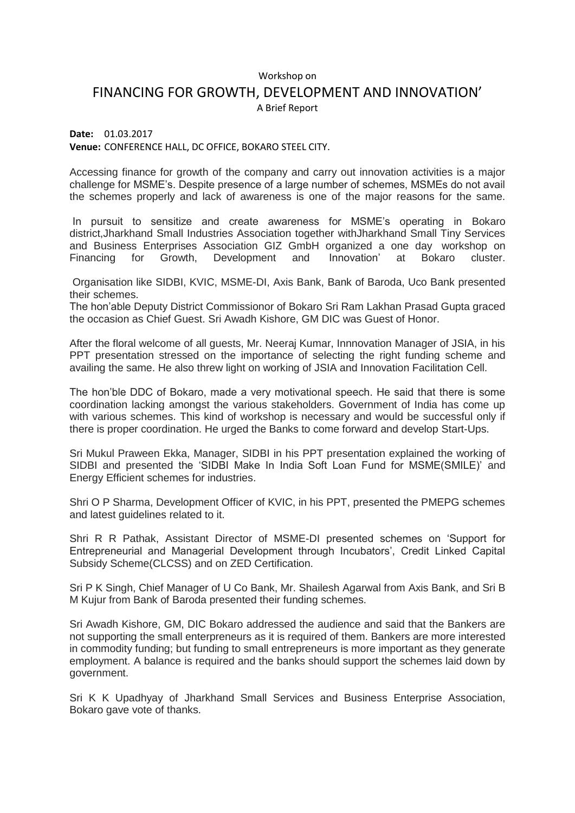## Workshop on

## FINANCING FOR GROWTH, DEVELOPMENT AND INNOVATION'

A Brief Report

**Date:** 01.03.2017 **Venue:** CONFERENCE HALL, DC OFFICE, BOKARO STEEL CITY.

Accessing finance for growth of the company and carry out innovation activities is a major challenge for MSME's. Despite presence of a large number of schemes, MSMEs do not avail the schemes properly and lack of awareness is one of the major reasons for the same.

In pursuit to sensitize and create awareness for MSME's operating in Bokaro district,Jharkhand Small Industries Association together withJharkhand Small Tiny Services and Business Enterprises Association GIZ GmbH organized a one day workshop on Financing for Growth, Development and Innovation' at Bokaro cluster.

Organisation like SIDBI, KVIC, MSME-DI, Axis Bank, Bank of Baroda, Uco Bank presented their schemes.

The hon'able Deputy District Commissionor of Bokaro Sri Ram Lakhan Prasad Gupta graced the occasion as Chief Guest. Sri Awadh Kishore, GM DIC was Guest of Honor.

After the floral welcome of all guests, Mr. Neeraj Kumar, Innnovation Manager of JSIA, in his PPT presentation stressed on the importance of selecting the right funding scheme and availing the same. He also threw light on working of JSIA and Innovation Facilitation Cell.

The hon'ble DDC of Bokaro, made a very motivational speech. He said that there is some coordination lacking amongst the various stakeholders. Government of India has come up with various schemes. This kind of workshop is necessary and would be successful only if there is proper coordination. He urged the Banks to come forward and develop Start-Ups.

Sri Mukul Praween Ekka, Manager, SIDBI in his PPT presentation explained the working of SIDBI and presented the 'SIDBI Make In India Soft Loan Fund for MSME(SMILE)' and Energy Efficient schemes for industries.

Shri O P Sharma, Development Officer of KVIC, in his PPT, presented the PMEPG schemes and latest guidelines related to it.

Shri R R Pathak, Assistant Director of MSME-DI presented schemes on 'Support for Entrepreneurial and Managerial Development through Incubators', Credit Linked Capital Subsidy Scheme(CLCSS) and on ZED Certification.

Sri P K Singh, Chief Manager of U Co Bank, Mr. Shailesh Agarwal from Axis Bank, and Sri B M Kujur from Bank of Baroda presented their funding schemes.

Sri Awadh Kishore, GM, DIC Bokaro addressed the audience and said that the Bankers are not supporting the small enterpreneurs as it is required of them. Bankers are more interested in commodity funding; but funding to small entrepreneurs is more important as they generate employment. A balance is required and the banks should support the schemes laid down by government.

Sri K K Upadhyay of Jharkhand Small Services and Business Enterprise Association, Bokaro gave vote of thanks.